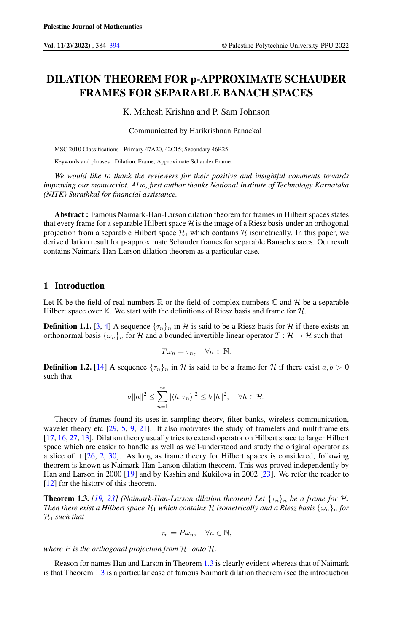# DILATION THEOREM FOR p-APPROXIMATE SCHAUDER FRAMES FOR SEPARABLE BANACH SPACES

K. Mahesh Krishna and P. Sam Johnson

Communicated by Harikrishnan Panackal

MSC 2010 Classifications : Primary 47A20, 42C15; Secondary 46B25.

Keywords and phrases : Dilation, Frame, Approximate Schauder Frame.

*We would like to thank the reviewers for their positive and insightful comments towards improving our manuscript. Also, first author thanks National Institute of Technology Karnataka (NITK) Surathkal for financial assistance.*

Abstract : Famous Naimark-Han-Larson dilation theorem for frames in Hilbert spaces states that every frame for a separable Hilbert space  $H$  is the image of a Riesz basis under an orthogonal projection from a separable Hilbert space  $\mathcal{H}_1$  which contains  $\mathcal H$  isometrically. In this paper, we derive dilation result for p-approximate Schauder frames for separable Banach spaces. Our result contains Naimark-Han-Larson dilation theorem as a particular case.

## 1 Introduction

Let  $\mathbb K$  be the field of real numbers  $\mathbb R$  or the field of complex numbers  $\mathbb C$  and  $\mathcal H$  be a separable Hilbert space over K. We start with the definitions of Riesz basis and frame for  $H$ .

**Definition 1.1.** [\[3,](#page-9-1) [4\]](#page-9-2) A sequence  $\{\tau_n\}_n$  in H is said to be a Riesz basis for H if there exists an orthonormal basis  $\{\omega_n\}_n$  for H and a bounded invertible linear operator  $T : \mathcal{H} \to \mathcal{H}$  such that

$$
T\omega_n = \tau_n, \quad \forall n \in \mathbb{N}.
$$

**Definition 1.2.** [\[14\]](#page-9-3) A sequence  $\{\tau_n\}_n$  in H is said to be a frame for H if there exist  $a, b > 0$ such that

$$
a||h||^2 \le \sum_{n=1}^{\infty} |\langle h, \tau_n \rangle|^2 \le b||h||^2, \quad \forall h \in \mathcal{H}.
$$

Theory of frames found its uses in sampling theory, filter banks, wireless communication, wavelet theory etc  $[29, 5, 9, 21]$  $[29, 5, 9, 21]$  $[29, 5, 9, 21]$  $[29, 5, 9, 21]$  $[29, 5, 9, 21]$  $[29, 5, 9, 21]$  $[29, 5, 9, 21]$ . It also motivates the study of framelets and multiframelets [\[17,](#page-9-7) [16,](#page-9-8) [27,](#page-10-1) [13\]](#page-9-9). Dilation theory usually tries to extend operator on Hilbert space to larger Hilbert space which are easier to handle as well as well-understood and study the original operator as a slice of it [\[26,](#page-10-2) [2,](#page-9-10) [30\]](#page-10-3). As long as frame theory for Hilbert spaces is considered, following theorem is known as Naimark-Han-Larson dilation theorem. This was proved independently by Han and Larson in 2000 [\[19\]](#page-9-11) and by Kashin and Kukilova in 2002 [\[23\]](#page-10-4). We refer the reader to [\[12\]](#page-9-12) for the history of this theorem.

<span id="page-0-0"></span>**Theorem 1.3.** [\[19,](#page-9-11) [23\]](#page-10-4) (Naimark-Han-Larson dilation theorem) Let  $\{\tau_n\}_n$  be a frame for H. *Then there exist a Hilbert space*  $H_1$  *which contains*  $H$  *isometrically and a Riesz basis*  $\{\omega_n\}_n$  *for*  $\mathcal{H}_1$  *such that* 

$$
\tau_n = P\omega_n, \quad \forall n \in \mathbb{N},
$$

*where*  $P$  *is the orthogonal projection from*  $H_1$  *onto*  $H$ *.* 

Reason for names Han and Larson in Theorem [1.3](#page-0-0) is clearly evident whereas that of Naimark is that Theorem [1.3](#page-0-0) is a particular case of famous Naimark dilation theorem (see the introduction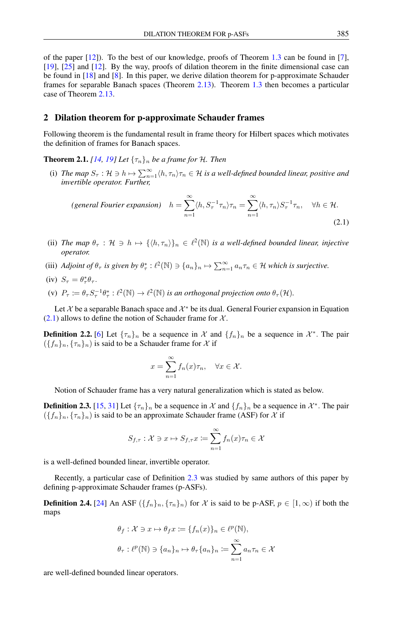of the paper  $[12]$ . To the best of our knowledge, proofs of Theorem [1.3](#page-0-0) can be found in [\[7\]](#page-9-13), [\[19\]](#page-9-11), [\[25\]](#page-10-5) and [\[12\]](#page-9-12). By the way, proofs of dilation theorem in the finite dimensional case can be found in [\[18\]](#page-9-14) and [\[8\]](#page-9-15). In this paper, we derive dilation theorem for p-approximate Schauder frames for separable Banach spaces (Theorem [2.13\)](#page-4-0). Theorem [1.3](#page-0-0) then becomes a particular case of Theorem [2.13.](#page-4-0)

#### 2 Dilation theorem for p-approximate Schauder frames

Following theorem is the fundamental result in frame theory for Hilbert spaces which motivates the definition of frames for Banach spaces.

<span id="page-1-2"></span>**Theorem 2.1.** [\[14,](#page-9-3) [19\]](#page-9-11) Let  $\{\tau_n\}_n$  be a frame for H. Then

(i) The map  $S_{\tau}$  :  $\mathcal{H} \ni h \mapsto \sum_{n=1}^{\infty} \langle h, \tau_n \rangle \tau_n \in \mathcal{H}$  is a well-defined bounded linear, positive and *invertible operator. Further,*

$$
\text{(general Fourier expansion)} \quad h = \sum_{n=1}^{\infty} \langle h, S_{\tau}^{-1} \tau_n \rangle \tau_n = \sum_{n=1}^{\infty} \langle h, \tau_n \rangle S_{\tau}^{-1} \tau_n, \quad \forall h \in \mathcal{H}. \tag{2.1}
$$

- (ii) *The map*  $\theta_{\tau}$  :  $\mathcal{H} \ni h \mapsto {\{\langle h, \tau_n \rangle\}}_n \in \ell^2(\mathbb{N})$  *is a well-defined bounded linear, injective operator.*
- (iii) *Adjoint of*  $\theta_{\tau}$  *is given by*  $\theta_{\tau}^* : \ell^2(\mathbb{N}) \ni \{a_n\}_n \mapsto \sum_{n=1}^{\infty} a_n \tau_n \in \mathcal{H}$  *which is surjective.*

(iv) 
$$
S_{\tau} = \theta_{\tau}^* \theta_{\tau}
$$
.

(v)  $P_{\tau} := \theta_{\tau} S_{\tau}^{-1} \theta_{\tau}^* : \ell^2(\mathbb{N}) \to \ell^2(\mathbb{N})$  *is an orthogonal projection onto*  $\theta_{\tau}(\mathcal{H})$ *.* 

Let X be a separable Banach space and  $\mathcal{X}^*$  be its dual. General Fourier expansion in Equation  $(2.1)$  allows to define the notion of Schauder frame for X.

**Definition 2.2.** [\[6\]](#page-9-16) Let  $\{\tau_n\}_n$  be a sequence in X and  $\{f_n\}_n$  be a sequence in  $\mathcal{X}^*$ . The pair  $({f_n}_n, {f_n}_n)$  is said to be a Schauder frame for X if

<span id="page-1-0"></span>
$$
x = \sum_{n=1}^{\infty} f_n(x)\tau_n, \quad \forall x \in \mathcal{X}.
$$

Notion of Schauder frame has a very natural generalization which is stated as below.

<span id="page-1-1"></span>**Definition 2.3.** [\[15,](#page-9-17) [31\]](#page-10-6) Let  $\{\tau_n\}_n$  be a sequence in X and  $\{f_n\}_n$  be a sequence in X<sup>\*</sup>. The pair  $({f_n}_n, {f_n}_n)$  is said to be an approximate Schauder frame (ASF) for X if

$$
S_{f,\tau}:\mathcal{X}\ni x\mapsto S_{f,\tau}x\coloneqq\sum_{n=1}^{\infty}f_n(x)\tau_n\in\mathcal{X}
$$

is a well-defined bounded linear, invertible operator.

Recently, a particular case of Definition [2.3](#page-1-1) was studied by same authors of this paper by defining p-approximate Schauder frames (p-ASFs).

**Definition 2.4.** [\[24\]](#page-10-7) An ASF  $({f_n}_n, {f_n}_n)$  for X is said to be p-ASF,  $p \in [1,\infty)$  if both the maps

$$
\theta_f: \mathcal{X} \ni x \mapsto \theta_f x := \{f_n(x)\}_n \in \ell^p(\mathbb{N}),
$$
  

$$
\theta_\tau: \ell^p(\mathbb{N}) \ni \{a_n\}_n \mapsto \theta_\tau \{a_n\}_n := \sum_{n=1}^\infty a_n \tau_n \in \mathcal{X}
$$

are well-defined bounded linear operators.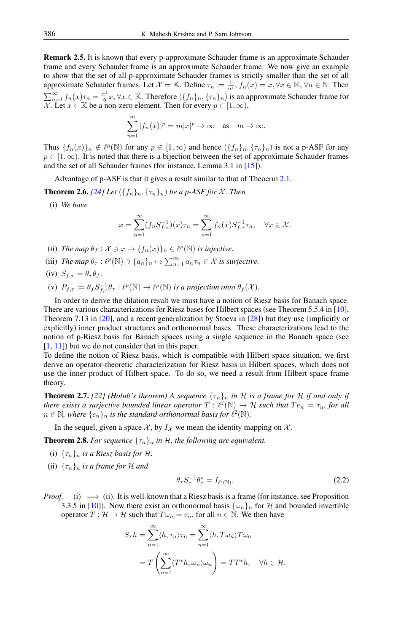Remark 2.5. It is known that every p-approximate Schauder frame is an approximate Schauder frame and every Schauder frame is an approximate Schauder frame. We now give an example to show that the set of all p-approximate Schauder frames is strictly smaller than the set of all approximate Schauder frames. Let  $\mathcal{X} = \mathbb{K}$ . Define  $\tau_n := \frac{1}{n^2}$ ,  $f_n(x) = x, \forall x \in \mathbb{K}$ ,  $\forall n \in \mathbb{N}$ . Then  $\sum_{n=1}^{\infty} f_n(x) \tau_n = \frac{\pi^2}{6}$  $\frac{\pi^2}{6}x, \forall x \in \mathbb{K}$ . Therefore  $(\{f_n\}_n, \{\tau_n\}_n)$  is an approximate Schauder frame for X. Let  $x \in \mathbb{K}$  be a non-zero element. Then for every  $p \in [1, \infty)$ ,

$$
\sum_{n=1}^{m} |f_n(x)|^p = m|x|^p \to \infty \quad \text{as} \quad m \to \infty.
$$

Thus  $\{f_n(x)\}_n \notin \ell^p(\mathbb{N})$  for any  $p \in [1,\infty)$  and hence  $(\{f_n\}_n, \{\tau_n\}_n)$  is not a p-ASF for any  $p \in [1,\infty)$ . It is noted that there is a bijection between the set of approximate Schauder frames and the set of all Schauder frames (for instance, Lemma 3.1 in [\[15\]](#page-9-17)).

Advantage of p-ASF is that it gives a result similar to that of Theoerm [2.1.](#page-1-2)

**Theorem 2.6.** [\[24\]](#page-10-7) Let  $({f_n}_n, {f_n}_n)$  be a p-ASF for X. Then

 $\overline{m}$ 

(i) *We have*

$$
x = \sum_{n=1}^{\infty} (f_n S_{f,\tau}^{-1})(x) \tau_n = \sum_{n=1}^{\infty} f_n(x) S_{f,\tau}^{-1} \tau_n, \quad \forall x \in \mathcal{X}.
$$

- (ii) *The map*  $\theta_f : \mathcal{X} \ni x \mapsto \{f_n(x)\}_n \in \ell^p(\mathbb{N})$  *is injective.*
- (iii) *The map*  $\theta_{\tau} : \ell^p(\mathbb{N}) \ni \{a_n\}_n \mapsto \sum_{n=1}^{\infty} a_n \tau_n \in \mathcal{X}$  *is surjective.*
- (iv)  $S_{f,\tau} = \theta_\tau \theta_f$ .
- (v)  $P_{f,\tau} \coloneqq \theta_f S_{f,\tau}^{-1} \theta_{\tau} : \ell^p(\mathbb{N}) \to \ell^p(\mathbb{N})$  is a projection onto  $\theta_f(\mathcal{X})$ .

In order to derive the dilation result we must have a notion of Riesz basis for Banach space. There are various characterizations for Riesz bases for Hilbert spaces (see Theorem 5.5.4 in [\[10\]](#page-9-18), Theorem 7.13 in [\[20\]](#page-9-19), and a recent generalization by Stoeva in [\[28\]](#page-10-8)) but they use (implicitly or explicitly) inner product structures and orthonormal bases. These characterizations lead to the notion of p-Riesz basis for Banach spaces using a single sequence in the Banach space (see  $[1, 11]$  $[1, 11]$  $[1, 11]$  but we do not consider that in this paper.

To define the notion of Riesz basis, which is compatible with Hilbert space situation, we first derive an operator-theoretic characterization for Riesz basis in Hilbert spaces, which does not use the inner product of Hilbert space. To do so, we need a result from Hilbert space frame theory.

<span id="page-2-0"></span>**Theorem 2.7.** [\[22\]](#page-10-9) *(Holub's theorem)* A sequence  $\{\tau_n\}_n$  *in* H *is a frame for* H *if and only if there exists a surjective bounded linear operator*  $T : \ell^2(\mathbb{N}) \to \mathcal{H}$  *such that*  $Te_n = \tau_n$ , for all  $n \in \mathbb{N}$ , where  $\{e_n\}_n$  is the standard orthonormal basis for  $\ell^2(\mathbb{N})$ .

In the sequel, given a space  $\mathcal{X}$ , by  $I_{\mathcal{X}}$  we mean the identity mapping on  $\mathcal{X}$ .

<span id="page-2-1"></span>**Theorem 2.8.** For sequence  $\{\tau_n\}_n$  in H, the following are equivalent.

- (i)  ${\{\tau_n\}_n}$  *is a Riesz basis for H.*
- (ii)  $\{\tau_n\}_n$  *is a frame for* H *and*

<span id="page-2-2"></span>
$$
\theta_{\tau} S_{\tau}^{-1} \theta_{\tau}^* = I_{\ell^2(\mathbb{N})}. \tag{2.2}
$$

*Proof.* (i)  $\implies$  (ii). It is well-known that a Riesz basis is a frame (for instance, see Proposition 3.3.5 in [\[10\]](#page-9-18)). Now there exist an orthonormal basis  $\{\omega_n\}_n$  for H and bounded invertible operator  $T : \mathcal{H} \to \mathcal{H}$  such that  $T \omega_n = \tau_n$ , for all  $n \in \mathbb{N}$ . We then have

$$
S_{\tau}h = \sum_{n=1}^{\infty} \langle h, \tau_n \rangle \tau_n = \sum_{n=1}^{\infty} \langle h, T\omega_n \rangle T\omega_n
$$
  
=  $T \left( \sum_{n=1}^{\infty} \langle T^*h, \omega_n \rangle \omega_n \right) = TT^*h, \quad \forall h \in \mathcal{H}.$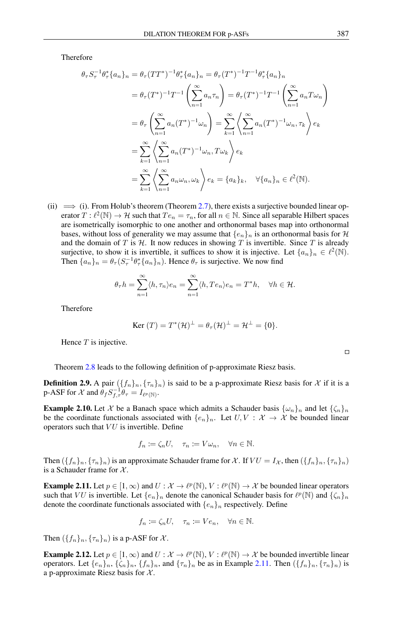Therefore

$$
\theta_{\tau} S_{\tau}^{-1} \theta_{\tau}^{*} \{a_{n}\}_{n} = \theta_{\tau} (TT^{*})^{-1} \theta_{\tau}^{*} \{a_{n}\}_{n} = \theta_{\tau} (T^{*})^{-1} T^{-1} \theta_{\tau}^{*} \{a_{n}\}_{n}
$$
  
\n
$$
= \theta_{\tau} (T^{*})^{-1} T^{-1} \left( \sum_{n=1}^{\infty} a_{n} \tau_{n} \right) = \theta_{\tau} (T^{*})^{-1} T^{-1} \left( \sum_{n=1}^{\infty} a_{n} T \omega_{n} \right)
$$
  
\n
$$
= \theta_{\tau} \left( \sum_{n=1}^{\infty} a_{n} (T^{*})^{-1} \omega_{n} \right) = \sum_{k=1}^{\infty} \left( \sum_{n=1}^{\infty} a_{n} (T^{*})^{-1} \omega_{n}, \tau_{k} \right) e_{k}
$$
  
\n
$$
= \sum_{k=1}^{\infty} \left( \sum_{n=1}^{\infty} a_{n} (T^{*})^{-1} \omega_{n}, T \omega_{k} \right) e_{k}
$$
  
\n
$$
= \sum_{k=1}^{\infty} \left( \sum_{n=1}^{\infty} a_{n} \omega_{n}, \omega_{k} \right) e_{k} = \{a_{k}\}_{k}, \quad \forall \{a_{n}\}_{n} \in \ell^{2}(\mathbb{N}).
$$

(ii)  $\implies$  (i). From Holub's theorem (Theorem [2.7\)](#page-2-0), there exists a surjective bounded linear operator  $T: \ell^2(\mathbb{N}) \to \mathcal{H}$  such that  $Te_n = \tau_n$ , for all  $n \in \mathbb{N}$ . Since all separable Hilbert spaces are isometrically isomorphic to one another and orthonormal bases map into orthonormal bases, without loss of generality we may assume that  ${e_n}_n$  is an orthonormal basis for  $H$ and the domain of  $T$  is  $H$ . It now reduces in showing  $T$  is invertible. Since  $T$  is already surjective, to show it is invertible, it suffices to show it is injective. Let  $\{a_n\}_n \in \ell^2(\mathbb{N})$ . Then  $\{a_n\}_n = \theta_\tau (S_\tau^{-1} \theta_\tau^* \{a_n\}_n)$ . Hence  $\theta_\tau$  is surjective. We now find

$$
\theta_{\tau}h = \sum_{n=1}^{\infty} \langle h, \tau_n \rangle e_n = \sum_{n=1}^{\infty} \langle h, T e_n \rangle e_n = T^*h, \quad \forall h \in \mathcal{H}.
$$

Therefore

$$
\text{Ker } (T) = T^*(\mathcal{H})^{\perp} = \theta_{\tau}(\mathcal{H})^{\perp} = \mathcal{H}^{\perp} = \{0\}.
$$

Hence  $T$  is injective.

Theorem [2.8](#page-2-1) leads to the following definition of p-approximate Riesz basis.

**Definition 2.9.** A pair  $(\{f_n\}_n, \{\tau_n\}_n)$  is said to be a p-approximate Riesz basis for X if it is a p-ASF for  $\mathcal X$  and  $\theta_f S_{f,\tau}^{-1} \theta_\tau = I_{\ell^p(\mathbb N)}$ .

**Example 2.10.** Let X be a Banach space which admits a Schauder basis  $\{\omega_n\}_n$  and let  $\{\zeta_n\}_n$ be the coordinate functionals associated with  $\{e_n\}_n$ . Let  $U, V : \mathcal{X} \to \mathcal{X}$  be bounded linear operators such that  $VU$  is invertible. Define

$$
f_n := \zeta_n U, \quad \tau_n := V \omega_n, \quad \forall n \in \mathbb{N}.
$$

Then  $({f_n}_n, {f_n}_n)$  is an approximate Schauder frame for X. If  $VU = I_{\mathcal{X}}$ , then  $({f_n}_n, {f_n}_n)$ is a Schauder frame for  $\mathcal{X}$ .

<span id="page-3-0"></span>**Example 2.11.** Let  $p \in [1, \infty)$  and  $U: \mathcal{X} \to \ell^p(\mathbb{N}), V: \ell^p(\mathbb{N}) \to \mathcal{X}$  be bounded linear operators such that VU is invertible. Let  $\{e_n\}_n$  denote the canonical Schauder basis for  $\ell^p(\mathbb{N})$  and  $\{\zeta_n\}_n$ denote the coordinate functionals associated with  $\{e_n\}_n$  respectively. Define

$$
f_n \coloneqq \zeta_n U, \quad \tau_n \coloneqq V e_n, \quad \forall n \in \mathbb{N}.
$$

Then  $({f_n}_n, {f_n}_n)$  is a p-ASF for X.

<span id="page-3-1"></span>**Example 2.12.** Let  $p \in [1, \infty)$  and  $U: \mathcal{X} \to \ell^p(\mathbb{N}), V: \ell^p(\mathbb{N}) \to \mathcal{X}$  be bounded invertible linear operators. Let  $\{e_n\}_n$ ,  $\{\zeta_n\}_n$ ,  $\{f_n\}_n$ , and  $\{\tau_n\}_n$  be as in Example [2.11.](#page-3-0) Then  $(\{f_n\}_n, \{\tau_n\}_n)$  is a p-approximate Riesz basis for  $X$ .

 $\Box$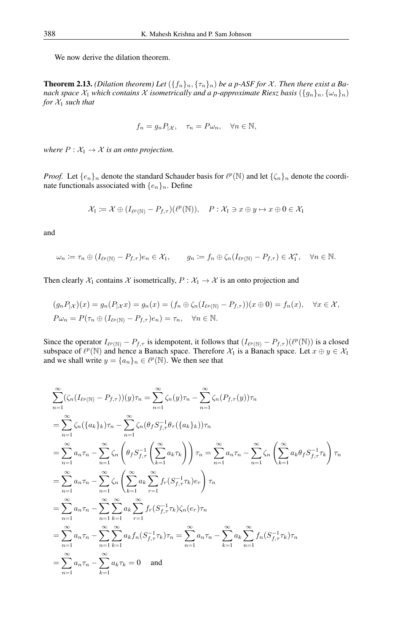We now derive the dilation theorem.

<span id="page-4-0"></span>**Theorem 2.13.** *(Dilation theorem)* Let  $({f_n}_n, { {\tau_n}_n})$  *be a p-ASF for X. Then there exist a Banach space*  $\mathcal{X}_1$  *which contains*  $\mathcal X$  *isometrically and a p-approximate Riesz basis*  $(\{g_n\}_n, \{\omega_n\}_n)$ *for*  $\mathcal{X}_1$  *such that* 

$$
f_n = g_n P_{|\mathcal{X}}, \quad \tau_n = P \omega_n, \quad \forall n \in \mathbb{N},
$$

*where*  $P: \mathcal{X}_1 \to \mathcal{X}$  *is an onto projection.* 

*Proof.* Let  $\{e_n\}_n$  denote the standard Schauder basis for  $\ell^p(\mathbb{N})$  and let  $\{\zeta_n\}_n$  denote the coordinate functionals associated with  $\{e_n\}_n$ . Define

$$
\mathcal{X}_1 \coloneqq \mathcal{X} \oplus (I_{\ell^p(\mathbb{N})} - P_{f,\tau})(\ell^p(\mathbb{N})), \quad P: \mathcal{X}_1 \ni x \oplus y \mapsto x \oplus 0 \in \mathcal{X}_1
$$

and

$$
\omega_n := \tau_n \oplus (I_{\ell^p(\mathbb{N})} - P_{f,\tau})e_n \in \mathcal{X}_1, \qquad g_n := f_n \oplus \zeta_n (I_{\ell^p(\mathbb{N})} - P_{f,\tau}) \in \mathcal{X}_1^*, \quad \forall n \in \mathbb{N}.
$$

Then clearly  $X_1$  contains X isometrically,  $P : X_1 \to X$  is an onto projection and

$$
(g_n P_{|\mathcal{X}})(x) = g_n(P_{|\mathcal{X}}x) = g_n(x) = (f_n \oplus \zeta_n(I_{\ell^p(\mathbb{N})} - P_{f,\tau}))(x \oplus 0) = f_n(x), \quad \forall x \in \mathcal{X},
$$
  

$$
P\omega_n = P(\tau_n \oplus (I_{\ell^p(\mathbb{N})} - P_{f,\tau})e_n) = \tau_n, \quad \forall n \in \mathbb{N}.
$$

Since the operator  $I_{\ell^p(\mathbb{N})} - P_{f,\tau}$  is idempotent, it follows that  $(I_{\ell^p(\mathbb{N})} - P_{f,\tau}) (\ell^p(\mathbb{N}))$  is a closed subspace of  $\ell^p(\mathbb{N})$  and hence a Banach space. Therefore  $\mathcal{X}_1$  is a Banach space. Let  $x \oplus y \in \mathcal{X}_1$ and we shall write  $y = \{a_n\}_n \in \ell^p(\mathbb{N})$ . We then see that

$$
\sum_{n=1}^{\infty} (\zeta_n (I_{\ell^p(\mathbb{N})} - P_{f,\tau}))(y)\tau_n = \sum_{n=1}^{\infty} \zeta_n (y)\tau_n - \sum_{n=1}^{\infty} \zeta_n (P_{f,\tau}(y))\tau_n \n= \sum_{n=1}^{\infty} \zeta_n (\{a_k\}_k)\tau_n - \sum_{n=1}^{\infty} \zeta_n (\theta_f S_{f,\tau}^{-1} \theta_\tau (\{a_k\}_k))\tau_n \n= \sum_{n=1}^{\infty} a_n \tau_n - \sum_{n=1}^{\infty} \zeta_n \left(\theta_f S_{f,\tau}^{-1} \left(\sum_{k=1}^{\infty} a_k \tau_k\right)\right) \tau_n = \sum_{n=1}^{\infty} a_n \tau_n - \sum_{n=1}^{\infty} \zeta_n \left(\sum_{k=1}^{\infty} a_k \theta_f S_{f,\tau}^{-1} \tau_k\right) \tau_n \n= \sum_{n=1}^{\infty} a_n \tau_n - \sum_{n=1}^{\infty} \zeta_n \left(\sum_{k=1}^{\infty} a_k \sum_{r=1}^{\infty} f_r (S_{f,\tau}^{-1} \tau_k) e_r\right) \tau_n \n= \sum_{n=1}^{\infty} a_n \tau_n - \sum_{n=1}^{\infty} \sum_{k=1}^{\infty} a_k \sum_{r=1}^{\infty} f_r (S_{f,\tau}^{-1} \tau_k) \zeta_n (e_r) \tau_n \n= \sum_{n=1}^{\infty} a_n \tau_n - \sum_{n=1}^{\infty} \sum_{k=1}^{\infty} a_k f_n (S_{f,\tau}^{-1} \tau_k) \tau_n = \sum_{n=1}^{\infty} a_n \tau_n - \sum_{k=1}^{\infty} a_k \tau_k = 0
$$
 and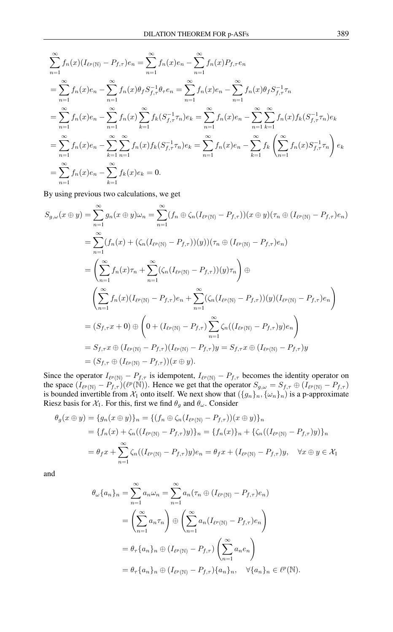$$
\sum_{n=1}^{\infty} f_n(x) (I_{\ell^p(\mathbb{N})} - P_{f,\tau}) e_n = \sum_{n=1}^{\infty} f_n(x) e_n - \sum_{n=1}^{\infty} f_n(x) P_{f,\tau} e_n
$$
  
\n
$$
= \sum_{n=1}^{\infty} f_n(x) e_n - \sum_{n=1}^{\infty} f_n(x) \theta_f S_{f,\tau}^{-1} \theta_\tau e_n = \sum_{n=1}^{\infty} f_n(x) e_n - \sum_{n=1}^{\infty} f_n(x) \theta_f S_{f,\tau}^{-1} \tau_n
$$
  
\n
$$
= \sum_{n=1}^{\infty} f_n(x) e_n - \sum_{n=1}^{\infty} f_n(x) \sum_{k=1}^{\infty} f_k(S_{f,\tau}^{-1} \tau_n) e_k = \sum_{n=1}^{\infty} f_n(x) e_n - \sum_{n=1}^{\infty} \sum_{k=1}^{\infty} f_n(x) f_k(S_{f,\tau}^{-1} \tau_n) e_k
$$
  
\n
$$
= \sum_{n=1}^{\infty} f_n(x) e_n - \sum_{k=1}^{\infty} \sum_{n=1}^{\infty} f_n(x) f_k(S_{f,\tau}^{-1} \tau_n) e_k = \sum_{n=1}^{\infty} f_n(x) e_n - \sum_{k=1}^{\infty} f_k \left( \sum_{n=1}^{\infty} f_n(x) S_{f,\tau}^{-1} \tau_n \right) e_k
$$
  
\n
$$
= \sum_{n=1}^{\infty} f_n(x) e_n - \sum_{k=1}^{\infty} f_k(x) e_k = 0.
$$

By using previous two calculations, we get

$$
S_{g,\omega}(x \oplus y) = \sum_{n=1}^{\infty} g_n(x \oplus y)\omega_n = \sum_{n=1}^{\infty} (f_n \oplus \zeta_n (I_{\ell^p(\mathbb{N})} - P_{f,\tau}))(x \oplus y)(\tau_n \oplus (I_{\ell^p(\mathbb{N})} - P_{f,\tau})e_n)
$$
  
\n
$$
= \sum_{n=1}^{\infty} (f_n(x) + (\zeta_n (I_{\ell^p(\mathbb{N})} - P_{f,\tau}))(y))(\tau_n \oplus (I_{\ell^p(\mathbb{N})} - P_{f,\tau})e_n)
$$
  
\n
$$
= \left(\sum_{n=1}^{\infty} f_n(x)\tau_n + \sum_{n=1}^{\infty} (\zeta_n (I_{\ell^p(\mathbb{N})} - P_{f,\tau}))(y)\tau_n\right) \oplus
$$
  
\n
$$
\left(\sum_{n=1}^{\infty} f_n(x)(I_{\ell^p(\mathbb{N})} - P_{f,\tau})e_n + \sum_{n=1}^{\infty} (\zeta_n (I_{\ell^p(\mathbb{N})} - P_{f,\tau}))(y)(I_{\ell^p(\mathbb{N})} - P_{f,\tau})e_n\right)
$$
  
\n
$$
= (S_{f,\tau}x + 0) \oplus \left(0 + (I_{\ell^p(\mathbb{N})} - P_{f,\tau})\sum_{n=1}^{\infty} \zeta_n((I_{\ell^p(\mathbb{N})} - P_{f,\tau})y)e_n\right)
$$
  
\n
$$
= S_{f,\tau}x \oplus (I_{\ell^p(\mathbb{N})} - P_{f,\tau})(I_{\ell^p(\mathbb{N})} - P_{f,\tau})y = S_{f,\tau}x \oplus (I_{\ell^p(\mathbb{N})} - P_{f,\tau})y
$$
  
\n
$$
= (S_{f,\tau} \oplus (I_{\ell^p(\mathbb{N})} - P_{f,\tau}))(x \oplus y).
$$

Since the operator  $I_{\ell^p(\mathbb{N})} - P_{f,\tau}$  is idempotent,  $I_{\ell^p(\mathbb{N})} - P_{f,\tau}$  becomes the identity operator on the space  $(I_{\ell^p(\mathbb{N})} - P_{f,\tau})(\ell^p(\mathbb{N}))$ . Hence we get that the operator  $S_{g,\omega} = S_{f,\tau} \oplus (I_{\ell^p(\mathbb{N})} - P_{f,\tau})$ is bounded invertible from  $\mathcal{X}_1$  onto itself. We next show that  $(\{g_n\}_n, \{\omega_n\}_n)$  is a p-approximate Riesz basis for  $X_1$ . For this, first we find  $\theta_g$  and  $\theta_\omega$ . Consider

$$
\theta_g(x \oplus y) = \{g_n(x \oplus y)\}_n = \{ (f_n \oplus \zeta_n(I_{\ell^p(\mathbb{N})} - P_{f,\tau}))(x \oplus y) \}_n
$$
  
=  $\{f_n(x) + \zeta_n((I_{\ell^p(\mathbb{N})} - P_{f,\tau})y)\}_n = \{f_n(x)\}_n + \{\zeta_n((I_{\ell^p(\mathbb{N})} - P_{f,\tau})y)\}_n$   
=  $\theta_f x + \sum_{n=1}^{\infty} \zeta_n((I_{\ell^p(\mathbb{N})} - P_{f,\tau})y)e_n = \theta_f x + (I_{\ell^p(\mathbb{N})} - P_{f,\tau})y, \quad \forall x \oplus y \in \mathcal{X}_1$ 

and

$$
\theta_{\omega}\{a_n\}_n = \sum_{n=1}^{\infty} a_n \omega_n = \sum_{n=1}^{\infty} a_n (\tau_n \oplus (I_{\ell^p(\mathbb{N})} - P_{f,\tau})e_n)
$$
  
= 
$$
\left(\sum_{n=1}^{\infty} a_n \tau_n\right) \oplus \left(\sum_{n=1}^{\infty} a_n (I_{\ell^p(\mathbb{N})} - P_{f,\tau})e_n\right)
$$
  
= 
$$
\theta_{\tau}\{a_n\}_n \oplus (I_{\ell^p(\mathbb{N})} - P_{f,\tau})\left(\sum_{n=1}^{\infty} a_n e_n\right)
$$
  
= 
$$
\theta_{\tau}\{a_n\}_n \oplus (I_{\ell^p(\mathbb{N})} - P_{f,\tau})\{a_n\}_n, \quad \forall \{a_n\}_n \in \ell^p(\mathbb{N}).
$$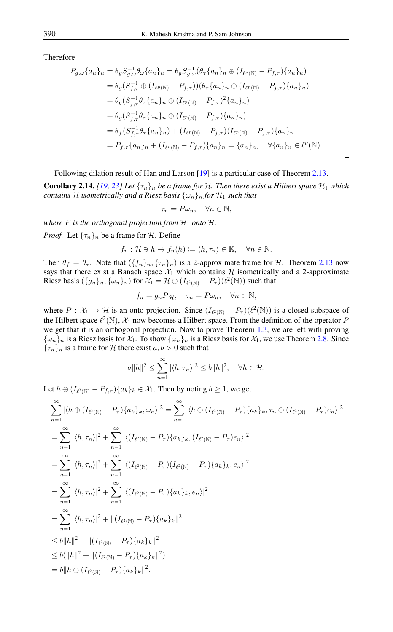Therefore

$$
P_{g,\omega}\{a_n\}_n = \theta_g S_{g,\omega}^{-1} \theta_{\omega} \{a_n\}_n = \theta_g S_{g,\omega}^{-1} (\theta_\tau \{a_n\}_n \oplus (I_{\ell^p(\mathbb{N})} - P_{f,\tau})\{a_n\}_n)
$$
  
\n
$$
= \theta_g (S_{f,\tau}^{-1} \oplus (I_{\ell^p(\mathbb{N})} - P_{f,\tau})) (\theta_\tau \{a_n\}_n \oplus (I_{\ell^p(\mathbb{N})} - P_{f,\tau})\{a_n\}_n)
$$
  
\n
$$
= \theta_g (S_{f,\tau}^{-1} \theta_\tau \{a_n\}_n \oplus (I_{\ell^p(\mathbb{N})} - P_{f,\tau})^2 \{a_n\}_n)
$$
  
\n
$$
= \theta_g (S_{f,\tau}^{-1} \theta_\tau \{a_n\}_n \oplus (I_{\ell^p(\mathbb{N})} - P_{f,\tau})\{a_n\}_n)
$$
  
\n
$$
= \theta_f (S_{f,\tau}^{-1} \theta_\tau \{a_n\}_n) + (I_{\ell^p(\mathbb{N})} - P_{f,\tau}) (I_{\ell^p(\mathbb{N})} - P_{f,\tau})\{a_n\}_n
$$
  
\n
$$
= P_{f,\tau} \{a_n\}_n + (I_{\ell^p(\mathbb{N})} - P_{f,\tau})\{a_n\}_n = \{a_n\}_n, \quad \forall \{a_n\}_n \in \ell^p(\mathbb{N}).
$$

Following dilation result of Han and Larson [\[19\]](#page-9-11) is a particular case of Theorem [2.13.](#page-4-0)

**Corollary 2.14.** *[\[19,](#page-9-11) [23\]](#page-10-4) Let*  $\{\tau_n\}_n$  *be a frame for* H. Then there exist a Hilbert space  $\mathcal{H}_1$  which *contains* H *isometrically and a Riesz basis*  $\{\omega_n\}_n$  *for*  $\mathcal{H}_1$  *such that* 

$$
\tau_n = P\omega_n, \quad \forall n \in \mathbb{N},
$$

*where*  $P$  *is the orthogonal projection from*  $H_1$  *onto*  $H$ *. Proof.* Let  $\{\tau_n\}_n$  be a frame for H. Define

$$
f_n: \mathcal{H} \ni h \mapsto f_n(h) \coloneqq \langle h, \tau_n \rangle \in \mathbb{K}, \quad \forall n \in \mathbb{N}.
$$

Then  $\theta_f = \theta_{\tau}$ . Note that  $(\{f_n\}_n, \{\tau_n\}_n)$  is a 2-approximate frame for H. Theorem [2.13](#page-4-0) now says that there exist a Banach space  $\mathcal{X}_1$  which contains  $\mathcal H$  isometrically and a 2-approximate Riesz basis  $(\{g_n\}_n, \{\omega_n\}_n)$  for  $\mathcal{X}_1 = \mathcal{H} \oplus (I_{\ell^2(\mathbb{N})} - P_\tau)(\ell^2(\mathbb{N}))$  such that

$$
f_n = g_n P_{|\mathcal{H}}, \quad \tau_n = P \omega_n, \quad \forall n \in \mathbb{N},
$$

where  $P: \mathcal{X}_1 \to \mathcal{H}$  is an onto projection. Since  $(I_{\ell^2(\mathbb{N})} - P_{\tau})(\ell^2(\mathbb{N}))$  is a closed subspace of the Hilbert space  $\ell^2(\mathbb{N})$ ,  $\mathcal{X}_1$  now becomes a Hilbert space. From the definition of the operator F we get that it is an orthogonal projection. Now to prove Theorem [1.3,](#page-0-0) we are left with proving  ${\{\omega_n\}_n}$  is a Riesz basis for  $\mathcal{X}_1$ . To show  ${\{\omega_n\}_n}$  is a Riesz basis for  $\mathcal{X}_1$ , we use Theorem [2.8.](#page-2-1) Since  ${\lbrace \tau_n \rbrace_n}$  is a frame for H there exist  $a, b > 0$  such that

$$
a||h||^2 \le \sum_{n=1}^{\infty} |\langle h, \tau_n \rangle|^2 \le b||h||^2, \quad \forall h \in \mathcal{H}.
$$

Let  $h \oplus (I_{\ell^2(\mathbb{N})} - P_{f,\tau})\{a_k\}_k \in \mathcal{X}_1$ . Then by noting  $b \ge 1$ , we get

$$
\sum_{n=1}^{\infty} |\langle h \oplus (I_{\ell^2(\mathbb{N})} - P_{\tau}) \{a_k\}_k, \omega_n \rangle|^2 = \sum_{n=1}^{\infty} |\langle h \oplus (I_{\ell^2(\mathbb{N})} - P_{\tau}) \{a_k\}_k, \tau_n \oplus (I_{\ell^2(\mathbb{N})} - P_{\tau}) e_n \rangle|^2
$$
  
\n
$$
= \sum_{n=1}^{\infty} |\langle h, \tau_n \rangle|^2 + \sum_{n=1}^{\infty} |\langle (I_{\ell^2(\mathbb{N})} - P_{\tau}) \{a_k\}_k, (I_{\ell^2(\mathbb{N})} - P_{\tau}) e_n \rangle|^2
$$
  
\n
$$
= \sum_{n=1}^{\infty} |\langle h, \tau_n \rangle|^2 + \sum_{n=1}^{\infty} |\langle (I_{\ell^2(\mathbb{N})} - P_{\tau}) \{a_k\}_k, e_n \rangle|^2
$$
  
\n
$$
= \sum_{n=1}^{\infty} |\langle h, \tau_n \rangle|^2 + \sum_{n=1}^{\infty} |\langle (I_{\ell^2(\mathbb{N})} - P_{\tau}) \{a_k\}_k, e_n \rangle|^2
$$
  
\n
$$
= \sum_{n=1}^{\infty} |\langle h, \tau_n \rangle|^2 + ||(I_{\ell^2(\mathbb{N})} - P_{\tau}) \{a_k\}_k||^2
$$
  
\n
$$
\leq b ||h||^2 + ||(I_{\ell^2(\mathbb{N})} - P_{\tau}) \{a_k\}_k||^2
$$
  
\n
$$
\leq b (||h||^2 + ||(I_{\ell^2(\mathbb{N})} - P_{\tau}) \{a_k\}_k||^2)
$$
  
\n
$$
= b ||h \oplus (I_{\ell^2(\mathbb{N})} - P_{\tau}) \{a_k\}_k||^2.
$$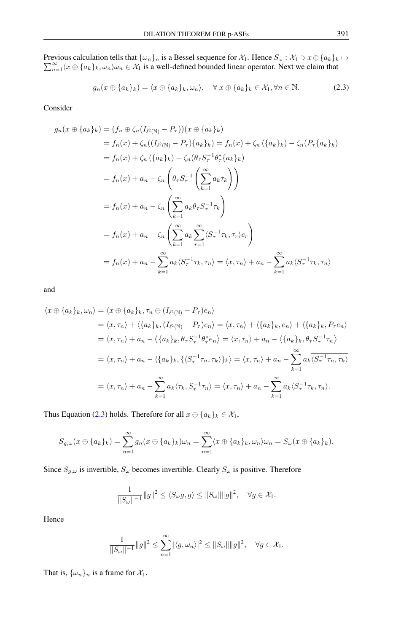Previous calculation tells that Previous calculation tells that  $\{\omega_n\}_n$  is a Bessel sequence for  $\mathcal{X}_1$ . Hence  $S_\omega : \mathcal{X}_1 \ni x \oplus \{a_k\}_k \mapsto$ <br> $\sum_{n=1}^{\infty} \langle x \oplus \{a_k\}_k, \omega_n \rangle \omega_n \in \mathcal{X}_1$  is a well-defined bounded linear operator. Next we claim that  $\sum_{n=1}^{\infty} \langle x\oplus \{a_k\}_k, \omega_n \rangle \omega_n \in \mathcal{X}_1$  is a well-defined bounded linear operator. Next we claim that

<span id="page-7-0"></span>
$$
g_n(x \oplus \{a_k\}_k) = \langle x \oplus \{a_k\}_k, \omega_n \rangle, \quad \forall \ x \oplus \{a_k\}_k \in \mathcal{X}_1, \forall n \in \mathbb{N}.
$$
 (2.3)

Consider

$$
g_n(x \oplus \{a_k\}_k) = (f_n \oplus \zeta_n (I_{\ell^2(\mathbb{N})} - P_\tau))(x \oplus \{a_k\}_k)
$$
  
\n
$$
= f_n(x) + \zeta_n ((I_{\ell^2(\mathbb{N})} - P_\tau)\{a_k\}_k) = f_n(x) + \zeta_n (\{a_k\}_k) - \zeta_n (P_\tau\{a_k\}_k)
$$
  
\n
$$
= f_n(x) + \zeta_n (\{a_k\}_k) - \zeta_n (\theta_\tau S_\tau^{-1} \theta_\tau^* \{a_k\}_k)
$$
  
\n
$$
= f_n(x) + a_n - \zeta_n \left(\theta_\tau S_\tau^{-1} \left(\sum_{k=1}^\infty a_k \tau_k\right)\right)
$$
  
\n
$$
= f_n(x) + a_n - \zeta_n \left(\sum_{k=1}^\infty a_k \theta_\tau S_\tau^{-1} \tau_k\right)
$$
  
\n
$$
= f_n(x) + a_n - \zeta_n \left(\sum_{k=1}^\infty a_k \sum_{r=1}^\infty \langle S_r^{-1} \tau_k, \tau_r \rangle e_r\right)
$$
  
\n
$$
= f_n(x) + a_n - \sum_{k=1}^\infty a_k \langle S_r^{-1} \tau_k, \tau_n \rangle = \langle x, \tau_n \rangle + a_n - \sum_{k=1}^\infty a_k \langle S_r^{-1} \tau_k, \tau_n \rangle
$$

and

$$
\langle x \oplus \{a_k\}_k, \omega_n \rangle = \langle x \oplus \{a_k\}_k, \tau_n \oplus (I_{\ell^2(\mathbb{N})} - P_{\tau})e_n \rangle
$$
  
\n
$$
= \langle x, \tau_n \rangle + \langle \{a_k\}_k, (I_{\ell^2(\mathbb{N})} - P_{\tau})e_n \rangle = \langle x, \tau_n \rangle + \langle \{a_k\}_k, e_n \rangle + \langle \{a_k\}_k, P_{\tau}e_n \rangle
$$
  
\n
$$
= \langle x, \tau_n \rangle + a_n - \langle \{a_k\}_k, \theta_{\tau}S_{\tau}^{-1}\theta_{\tau}^*e_n \rangle = \langle x, \tau_n \rangle + a_n - \langle \{a_k\}_k, \theta_{\tau}S_{\tau}^{-1}\tau_n \rangle
$$
  
\n
$$
= \langle x, \tau_n \rangle + a_n - \langle \{a_k\}_k, \{\langle S_{\tau}^{-1}\tau_n, \tau_k \rangle\}_k \rangle = \langle x, \tau_n \rangle + a_n - \sum_{k=1}^{\infty} a_k \overline{\langle S_{\tau}^{-1}\tau_n, \tau_k \rangle}
$$
  
\n
$$
= \langle x, \tau_n \rangle + a_n - \sum_{k=1}^{\infty} a_k \langle \tau_k, S_{\tau}^{-1}\tau_n \rangle = \langle x, \tau_n \rangle + a_n - \sum_{k=1}^{\infty} a_k \langle S_{\tau}^{-1}\tau_k, \tau_n \rangle.
$$

Thus Equation [\(2.3\)](#page-7-0) holds. Therefore for all  $x \oplus \{a_k\}_k \in \mathcal{X}_1$ ,

$$
S_{g,\omega}(x\oplus\{a_k\}_k)=\sum_{n=1}^{\infty}g_n(x\oplus\{a_k\}_k)\omega_n=\sum_{n=1}^{\infty}\langle x\oplus\{a_k\}_k,\omega_n\rangle\omega_n=S_{\omega}(x\oplus\{a_k\}_k).
$$

Since  $S_{g,\omega}$  is invertible,  $S_{\omega}$  becomes invertible. Clearly  $S_{\omega}$  is positive. Therefore

$$
\frac{1}{\|S_{\omega}\|^{-1}}\|g\|^2 \le \langle S_{\omega}g, g \rangle \le \|S_{\omega}\| \|g\|^2, \quad \forall g \in \mathcal{X}_1.
$$

Hence

$$
\frac{1}{\|S_{\omega}\|^{-1}}\|g\|^2 \le \sum_{n=1}^{\infty} |\langle g, \omega_n \rangle|^2 \le \|S_{\omega}\| \|g\|^2, \quad \forall g \in \mathcal{X}_1.
$$

That is,  $\{\omega_n\}_n$  is a frame for  $\mathcal{X}_1$ .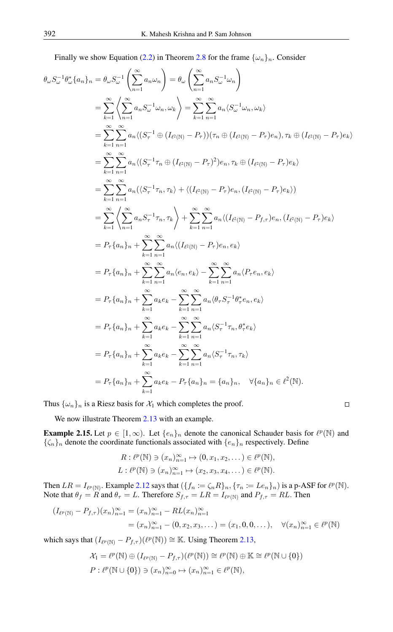Finally we show Equation [\(2.2\)](#page-2-2) in Theorem [2.8](#page-2-1) for the frame  $\{\omega_n\}_n$ . Consider

$$
\theta_{\omega}S_{\omega}^{-1}\theta_{\omega}^{*}\{a_{n}\}_{n} = \theta_{\omega}S_{\omega}^{-1}\left(\sum_{n=1}^{\infty}a_{n}\omega_{n}\right) = \theta_{\omega}\left(\sum_{n=1}^{\infty}a_{n}S_{\omega}^{-1}\omega_{n}\right)
$$
\n
$$
= \sum_{k=1}^{\infty}\left\langle\sum_{n=1}^{\infty}a_{n}S_{\omega}^{-1}\omega_{n},\omega_{k}\right\rangle = \sum_{k=1}^{\infty}\sum_{n=1}^{\infty}a_{n}\langle S_{\omega}^{-1}\omega_{n},\omega_{k}\rangle
$$
\n
$$
= \sum_{k=1}^{\infty}\sum_{n=1}^{\infty}a_{n}\langle(S_{\tau}^{-1}\oplus (I_{\ell^{2}(\mathbb{N})}-P_{\tau}))(\tau_{n}\oplus (I_{\ell^{2}(\mathbb{N})}-P_{\tau})e_{n}),\tau_{k}\oplus (I_{\ell^{2}(\mathbb{N})}-P_{\tau})e_{k}\rangle
$$
\n
$$
= \sum_{k=1}^{\infty}\sum_{n=1}^{\infty}a_{n}\langle(S_{\tau}^{-1}\tau_{n}\oplus (I_{\ell^{2}(\mathbb{N})}-P_{\tau})^{2})e_{n},\tau_{k}\oplus (I_{\ell^{2}(\mathbb{N})}-P_{\tau})e_{k}\rangle
$$
\n
$$
= \sum_{k=1}^{\infty}\sum_{n=1}^{\infty}a_{n}\langle(S_{\tau}^{-1}\tau_{n},\tau_{k}\rangle + \langle(I_{\ell^{2}(\mathbb{N})}-P_{\tau})e_{n},(I_{\ell^{2}(\mathbb{N})}-P_{\tau})e_{k}\rangle
$$
\n
$$
= \sum_{k=1}^{\infty}\left\langle\sum_{n=1}^{\infty}a_{n}S_{\tau}^{-1}\tau_{n},\tau_{k}\right\rangle + \sum_{k=1}^{\infty}\sum_{n=1}^{\infty}a_{n}\langle(I_{\ell^{2}(\mathbb{N})}-P_{\tau})e_{n},(I_{\ell^{2}(\mathbb{N})}-P_{\tau})e_{k}\rangle
$$
\n
$$
= P_{\tau}\{a_{n}\}_{n} + \sum_{k=1}^{\infty}\sum_{n=1}^{\infty}a_{n}\langle(I_{
$$

Thus  $\{\omega_n\}_n$  is a Riesz basis for  $\mathcal{X}_1$  which completes the proof.

 $\Box$ 

We now illustrate Theorem [2.13](#page-4-0) with an example.

**Example 2.15.** Let  $p \in [1, \infty)$ . Let  $\{e_n\}_n$  denote the canonical Schauder basis for  $\ell^p(\mathbb{N})$  and  ${\{\zeta_n\}_n}$  denote the coordinate functionals associated with  ${e_n\}_n$  respectively. Define

$$
R: \ell^p(\mathbb{N}) \ni (x_n)_{n=1}^{\infty} \mapsto (0, x_1, x_2, \dots) \in \ell^p(\mathbb{N}),
$$
  

$$
L: \ell^p(\mathbb{N}) \ni (x_n)_{n=1}^{\infty} \mapsto (x_2, x_3, x_4, \dots) \in \ell^p(\mathbb{N}).
$$

Then  $LR = I_{\ell^p(\mathbb{N})}$ . Example [2.12](#page-3-1) says that  $({f_n := \zeta_n R}_n, {\tau_n := Le_n}_n)$  is a p-ASF for  $\ell^p(\mathbb{N})$ . Note that  $\theta_f = R$  and  $\theta_\tau = L$ . Therefore  $S_{f,\tau} = LR = I_{\ell^p(\mathbb{N})}$  and  $P_{f,\tau} = RL$ . Then

$$
(I_{\ell^p(\mathbb{N})} - P_{f,\tau})(x_n)_{n=1}^{\infty} = (x_n)_{n=1}^{\infty} - RL(x_n)_{n=1}^{\infty}
$$
  
=  $(x_n)_{n=1}^{\infty} - (0, x_2, x_3, ... ) = (x_1, 0, 0, ...), \quad \forall (x_n)_{n=1}^{\infty} \in \ell^p(\mathbb{N})$ 

which says that  $(I_{\ell^p(\mathbb{N})} - P_{f,\tau} )(\ell^p(\mathbb{N})) \cong \mathbb{K}$ . Using Theorem [2.13,](#page-4-0)

$$
\mathcal{X}_1 = \ell^p(\mathbb{N}) \oplus (I_{\ell^p(\mathbb{N})} - P_{f,\tau})(\ell^p(\mathbb{N})) \cong \ell^p(\mathbb{N}) \oplus \mathbb{K} \cong \ell^p(\mathbb{N} \cup \{0\})
$$
  

$$
P: \ell^p(\mathbb{N} \cup \{0\}) \ni (x_n)_{n=0}^{\infty} \mapsto (x_n)_{n=1}^{\infty} \in \ell^p(\mathbb{N}),
$$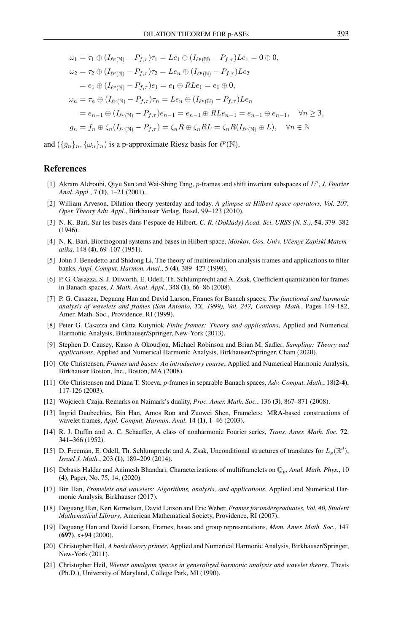$$
\omega_1 = \tau_1 \oplus (I_{\ell^p(\mathbb{N})} - P_{f,\tau})\tau_1 = Le_1 \oplus (I_{\ell^p(\mathbb{N})} - P_{f,\tau})Le_1 = 0 \oplus 0,
$$
  
\n
$$
\omega_2 = \tau_2 \oplus (I_{\ell^p(\mathbb{N})} - P_{f,\tau})\tau_2 = Le_n \oplus (I_{\ell^p(\mathbb{N})} - P_{f,\tau})Le_2
$$
  
\n
$$
= e_1 \oplus (I_{\ell^p(\mathbb{N})} - P_{f,\tau})e_1 = e_1 \oplus RLe_1 = e_1 \oplus 0,
$$
  
\n
$$
\omega_n = \tau_n \oplus (I_{\ell^p(\mathbb{N})} - P_{f,\tau})\tau_n = Le_n \oplus (I_{\ell^p(\mathbb{N})} - P_{f,\tau})Le_n
$$
  
\n
$$
= e_{n-1} \oplus (I_{\ell^p(\mathbb{N})} - P_{f,\tau})e_{n-1} = e_{n-1} \oplus RLe_{n-1} = e_{n-1} \oplus e_{n-1}, \quad \forall n \ge 3,
$$
  
\n
$$
g_n = f_n \oplus \zeta_n(I_{\ell^p(\mathbb{N})} - P_{f,\tau}) = \zeta_n R \oplus \zeta_n RL = \zeta_n R(I_{\ell^p(\mathbb{N})} \oplus L), \quad \forall n \in \mathbb{N}
$$

and  $(\{g_n\}_n, \{\omega_n\}_n)$  is a p-approximate Riesz basis for  $\ell^p(\mathbb{N})$ .

### <span id="page-9-0"></span>References

- <span id="page-9-20"></span>[1] Akram Aldroubi, Qiyu Sun and Wai-Shing Tang, p-frames and shift invariant subspaces of L p , *J. Fourier Anal. Appl.*, 7 (1), 1–21 (2001).
- <span id="page-9-10"></span>[2] William Arveson, Dilation theory yesterday and today. *A glimpse at Hilbert space operators, Vol. 207, Oper. Theory Adv. Appl.*, Birkhauser Verlag, Basel, 99–123 (2010).
- <span id="page-9-1"></span>[3] N. K. Bari, Sur les bases dans l'espace de Hilbert, *C. R. (Doklady) Acad. Sci. URSS (N. S.)*, 54, 379–382 (1946).
- <span id="page-9-2"></span>[4] N. K. Bari, Biorthogonal systems and bases in Hilbert space, *Moskov. Gos. Univ. Uˇcenye Zapiski Matematika*, 148 (4), 69–107 (1951).
- <span id="page-9-4"></span>[5] John J. Benedetto and Shidong Li, The theory of multiresolution analysis frames and applications to filter banks, *Appl. Comput. Harmon. Anal.*, 5 (4), 389–427 (1998).
- <span id="page-9-16"></span>[6] P. G. Casazza, S. J. Dilworth, E. Odell, Th. Schlumprecht and A. Zsak, Coefficient quantization for frames in Banach spaces, *J. Math. Anal. Appl.*, 348 (1), 66–86 (2008).
- <span id="page-9-13"></span>[7] P. G. Casazza, Deguang Han and David Larson, Frames for Banach spaces, *The functional and harmonic analysis of wavelets and frames (San Antonio, TX, 1999), Vol. 247, Contemp. Math.*, Pages 149-182, Amer. Math. Soc., Providence, RI (1999).
- <span id="page-9-15"></span>[8] Peter G. Casazza and Gitta Kutyniok *Finite frames: Theory and applications*, Applied and Numerical Harmonic Analysis, Birkhauser/Springer, New-York (2013).
- <span id="page-9-5"></span>[9] Stephen D. Causey, Kasso A Okoudjou, Michael Robinson and Brian M. Sadler, *Sampling: Theory and applications*, Applied and Numerical Harmonic Analysis, Birkhauser/Springer, Cham (2020).
- <span id="page-9-18"></span>[10] Ole Christensen, *Frames and bases: An introductory course*, Applied and Numerical Harmonic Analysis, Birkhauser Boston, Inc., Boston, MA (2008).
- <span id="page-9-21"></span>[11] Ole Christensen and Diana T. Stoeva, p-frames in separable Banach spaces, *Adv. Comput. Math.*, 18(2-4), 117-126 (2003).
- <span id="page-9-12"></span>[12] Wojciech Czaja, Remarks on Naimark's duality, *Proc. Amer. Math. Soc.*, 136 (3), 867–871 (2008).
- <span id="page-9-9"></span>[13] Ingrid Daubechies, Bin Han, Amos Ron and Zuowei Shen, Framelets: MRA-based constructions of wavelet frames, *Appl. Comput. Harmon. Anal.* 14 (1), 1–46 (2003).
- <span id="page-9-3"></span>[14] R. J. Duffin and A. C. Schaeffer, A class of nonharmonic Fourier series, *Trans. Amer. Math. Soc.* 72, 341–366 (1952).
- <span id="page-9-17"></span>[15] D. Freeman, E. Odell, Th. Schlumprecht and A. Zsak, Unconditional structures of translates for  $L_p(\mathbb{R}^d)$ , *Israel J. Math.*, 203 (1), 189–209 (2014).
- <span id="page-9-8"></span>[16] Debasis Haldar and Animesh Bhandari, Characterizations of multiframelets on Qp, *Anal. Math. Phys.*, 10 (4), Paper, No. 75, 14, (2020).
- <span id="page-9-7"></span>[17] Bin Han, *Framelets and wavelets: Algorithms, analysis, and applications*, Applied and Numerical Harmonic Analysis, Birkhauser (2017).
- <span id="page-9-14"></span>[18] Deguang Han, Keri Kornelson, David Larson and Eric Weber, *Frames for undergraduates, Vol. 40, Student Mathematical Library*, American Mathematical Society, Providence, RI (2007).
- <span id="page-9-11"></span>[19] Deguang Han and David Larson, Frames, bases and group representations, *Mem. Amer. Math. Soc.*, 147 (697), x+94 (2000).
- <span id="page-9-19"></span>[20] Christopher Heil, *A basis theory primer*, Applied and Numerical Harmonic Analysis, Birkhauser/Springer, New-York (2011).
- <span id="page-9-6"></span>[21] Christopher Heil, *Wiener amalgam spaces in generalized harmonic analysis and wavelet theory*, Thesis (Ph.D.), University of Maryland, College Park, MI (1990).